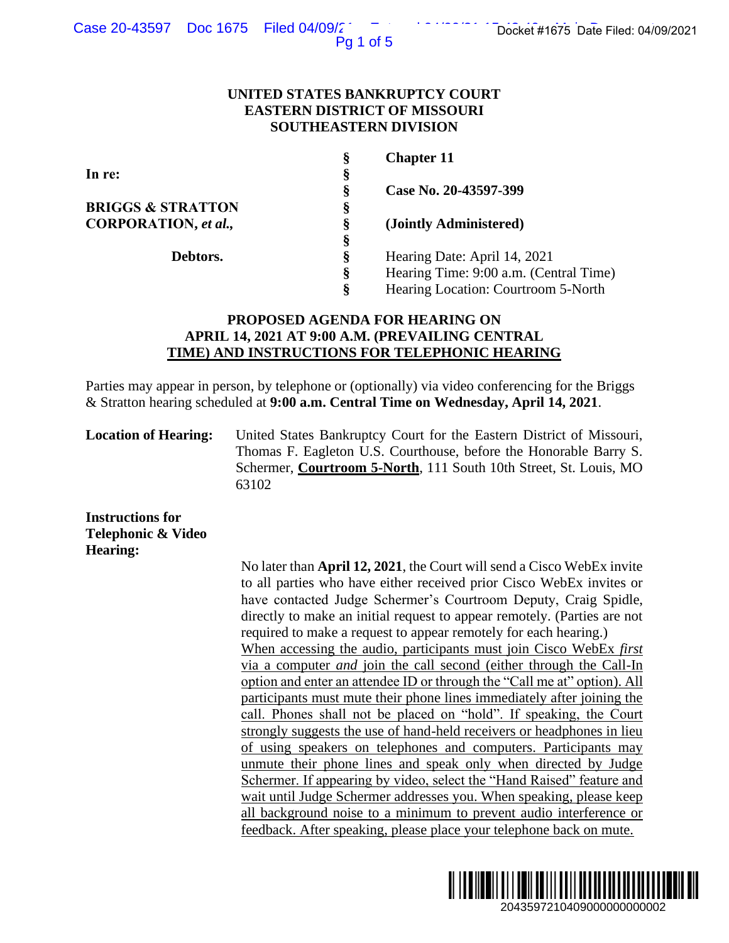### Case 20-43597 Doc 1675 Filed 04/09/2<sup>-</sup> Entertainment of Docket #1675 Date Filed: 04/09/2021

Pg 1 of 5

### **UNITED STATES BANKRUPTCY COURT EASTERN DISTRICT OF MISSOURI SOUTHEASTERN DIVISION**

| Ş | <b>Chapter 11</b>                      |
|---|----------------------------------------|
| § |                                        |
| Ş | Case No. 20-43597-399                  |
| Ş |                                        |
| Ş | (Jointly Administered)                 |
| Ş |                                        |
| Ş | Hearing Date: April 14, 2021           |
| ş | Hearing Time: 9:00 a.m. (Central Time) |
| Ş | Hearing Location: Courtroom 5-North    |
|   |                                        |

# **PROPOSED AGENDA FOR HEARING ON APRIL 14, 2021 AT 9:00 A.M. (PREVAILING CENTRAL TIME) AND INSTRUCTIONS FOR TELEPHONIC HEARING**

Parties may appear in person, by telephone or (optionally) via video conferencing for the Briggs & Stratton hearing scheduled at **9:00 a.m. Central Time on Wednesday, April 14, 2021**.

**Location of Hearing:** United States Bankruptcy Court for the Eastern District of Missouri, Thomas F. Eagleton U.S. Courthouse, before the Honorable Barry S. Schermer, **Courtroom 5-North**, 111 South 10th Street, St. Louis, MO 63102

**Instructions for Telephonic & Video Hearing:**

No later than **April 12, 2021**, the Court will send a Cisco WebEx invite to all parties who have either received prior Cisco WebEx invites or have contacted Judge Schermer's Courtroom Deputy, Craig Spidle, directly to make an initial request to appear remotely. (Parties are not required to make a request to appear remotely for each hearing.) When accessing the audio, participants must join Cisco WebEx *first*  via a computer *and* join the call second (either through the Call-In option and enter an attendee ID or through the "Call me at" option). All participants must mute their phone lines immediately after joining the call. Phones shall not be placed on "hold". If speaking, the Court strongly suggests the use of hand-held receivers or headphones in lieu of using speakers on telephones and computers. Participants may unmute their phone lines and speak only when directed by Judge Schermer. If appearing by video, select the "Hand Raised" feature and wait until Judge Schermer addresses you. When speaking, please keep all background noise to a minimum to prevent audio interference or feedback. After speaking, please place your telephone back on mute. 2043597210409000000000002 Docket #1675 Date Filed: 04/09/2021

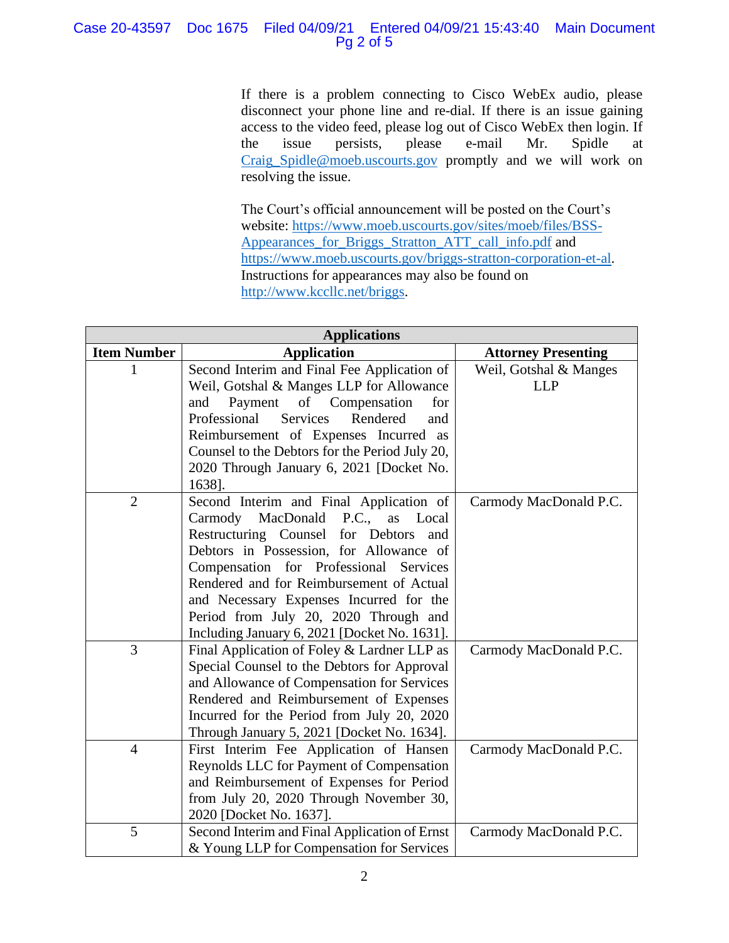# Case 20-43597 Doc 1675 Filed 04/09/21 Entered 04/09/21 15:43:40 Main Document Pg 2 of 5

If there is a problem connecting to Cisco WebEx audio, please disconnect your phone line and re-dial. If there is an issue gaining access to the video feed, please log out of Cisco WebEx then login. If the issue persists, please e-mail Mr. Spidle at [Craig\\_Spidle@moeb.uscourts.gov](mailto:Shontelle_McCoy@moeb.uscourts.gov) promptly and we will work on resolving the issue.

The Court's official announcement will be posted on the Court's website: [https://www.moeb.uscourts.gov/sites/moeb/files/BSS-](https://www.moeb.uscourts.gov/sites/moeb/files/BSS-Appearances_for_Briggs_Stratton_ATT_call_info.pdf)[Appearances\\_for\\_Briggs\\_Stratton\\_ATT\\_call\\_info.pdf](https://www.moeb.uscourts.gov/sites/moeb/files/BSS-Appearances_for_Briggs_Stratton_ATT_call_info.pdf) and [https://www.moeb.uscourts.gov/briggs-stratton-corporation-et-al.](https://www.moeb.uscourts.gov/briggs-stratton-corporation-et-al) Instructions for appearances may also be found on [http://www.kccllc.net/briggs.](http://www.kccllc.net/briggs)

| <b>Applications</b> |                                                    |                            |  |  |
|---------------------|----------------------------------------------------|----------------------------|--|--|
| <b>Item Number</b>  | <b>Application</b>                                 | <b>Attorney Presenting</b> |  |  |
|                     | Second Interim and Final Fee Application of        | Weil, Gotshal & Manges     |  |  |
|                     | Weil, Gotshal & Manges LLP for Allowance           | <b>LLP</b>                 |  |  |
|                     | Payment<br>of Compensation<br>for<br>and           |                            |  |  |
|                     | Professional<br><b>Services</b><br>Rendered<br>and |                            |  |  |
|                     | Reimbursement of Expenses Incurred as              |                            |  |  |
|                     | Counsel to the Debtors for the Period July 20,     |                            |  |  |
|                     | 2020 Through January 6, 2021 [Docket No.           |                            |  |  |
|                     | 1638].                                             |                            |  |  |
| $\overline{2}$      | Second Interim and Final Application of            | Carmody MacDonald P.C.     |  |  |
|                     | $P.C.,$ as<br>Carmody MacDonald<br>Local           |                            |  |  |
|                     | Restructuring Counsel for Debtors<br>and           |                            |  |  |
|                     | Debtors in Possession, for Allowance of            |                            |  |  |
|                     | Compensation for Professional<br>Services          |                            |  |  |
|                     | Rendered and for Reimbursement of Actual           |                            |  |  |
|                     | and Necessary Expenses Incurred for the            |                            |  |  |
|                     | Period from July 20, 2020 Through and              |                            |  |  |
|                     | Including January 6, 2021 [Docket No. 1631].       |                            |  |  |
| 3                   | Final Application of Foley & Lardner LLP as        | Carmody MacDonald P.C.     |  |  |
|                     | Special Counsel to the Debtors for Approval        |                            |  |  |
|                     | and Allowance of Compensation for Services         |                            |  |  |
|                     | Rendered and Reimbursement of Expenses             |                            |  |  |
|                     | Incurred for the Period from July 20, 2020         |                            |  |  |
|                     | Through January 5, 2021 [Docket No. 1634].         |                            |  |  |
| $\overline{4}$      | First Interim Fee Application of Hansen            | Carmody MacDonald P.C.     |  |  |
|                     | Reynolds LLC for Payment of Compensation           |                            |  |  |
|                     | and Reimbursement of Expenses for Period           |                            |  |  |
|                     | from July 20, 2020 Through November 30,            |                            |  |  |
|                     | 2020 [Docket No. 1637].                            |                            |  |  |
| 5                   | Second Interim and Final Application of Ernst      | Carmody MacDonald P.C.     |  |  |
|                     | & Young LLP for Compensation for Services          |                            |  |  |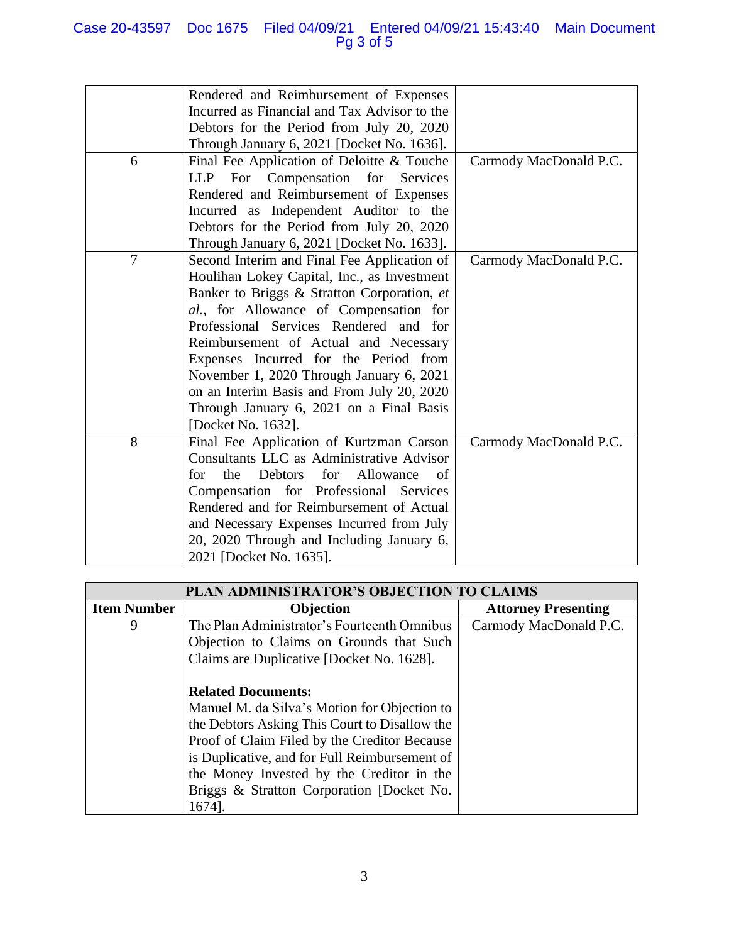## Case 20-43597 Doc 1675 Filed 04/09/21 Entered 04/09/21 15:43:40 Main Document Pg 3 of 5

|                | Rendered and Reimbursement of Expenses       |                        |
|----------------|----------------------------------------------|------------------------|
|                | Incurred as Financial and Tax Advisor to the |                        |
|                | Debtors for the Period from July 20, 2020    |                        |
|                | Through January 6, 2021 [Docket No. 1636].   |                        |
| 6              | Final Fee Application of Deloitte & Touche   | Carmody MacDonald P.C. |
|                | LLP For Compensation for Services            |                        |
|                | Rendered and Reimbursement of Expenses       |                        |
|                | Incurred as Independent Auditor to the       |                        |
|                | Debtors for the Period from July 20, 2020    |                        |
|                | Through January 6, 2021 [Docket No. 1633].   |                        |
| $\overline{7}$ | Second Interim and Final Fee Application of  | Carmody MacDonald P.C. |
|                | Houlihan Lokey Capital, Inc., as Investment  |                        |
|                | Banker to Briggs & Stratton Corporation, et  |                        |
|                | al., for Allowance of Compensation for       |                        |
|                | Professional Services Rendered and for       |                        |
|                | Reimbursement of Actual and Necessary        |                        |
|                | Expenses Incurred for the Period from        |                        |
|                | November 1, 2020 Through January 6, 2021     |                        |
|                | on an Interim Basis and From July 20, 2020   |                        |
|                | Through January 6, 2021 on a Final Basis     |                        |
|                | [Docket No. 1632].                           |                        |
| 8              | Final Fee Application of Kurtzman Carson     | Carmody MacDonald P.C. |
|                | Consultants LLC as Administrative Advisor    |                        |
|                | the Debtors for Allowance<br>for<br>of       |                        |
|                | Compensation for Professional Services       |                        |
|                | Rendered and for Reimbursement of Actual     |                        |
|                | and Necessary Expenses Incurred from July    |                        |
|                | 20, 2020 Through and Including January 6,    |                        |
|                | 2021 [Docket No. 1635].                      |                        |

| PLAN ADMINISTRATOR'S OBJECTION TO CLAIMS |                                               |                            |  |
|------------------------------------------|-----------------------------------------------|----------------------------|--|
| <b>Item Number</b>                       | <b>Objection</b>                              | <b>Attorney Presenting</b> |  |
| 9                                        | The Plan Administrator's Fourteenth Omnibus   | Carmody MacDonald P.C.     |  |
|                                          | Objection to Claims on Grounds that Such      |                            |  |
|                                          | Claims are Duplicative [Docket No. 1628].     |                            |  |
|                                          |                                               |                            |  |
|                                          | <b>Related Documents:</b>                     |                            |  |
|                                          | Manuel M. da Silva's Motion for Objection to  |                            |  |
|                                          | the Debtors Asking This Court to Disallow the |                            |  |
|                                          | Proof of Claim Filed by the Creditor Because  |                            |  |
|                                          | is Duplicative, and for Full Reimbursement of |                            |  |
|                                          | the Money Invested by the Creditor in the     |                            |  |
|                                          | Briggs & Stratton Corporation [Docket No.     |                            |  |
|                                          | 1674].                                        |                            |  |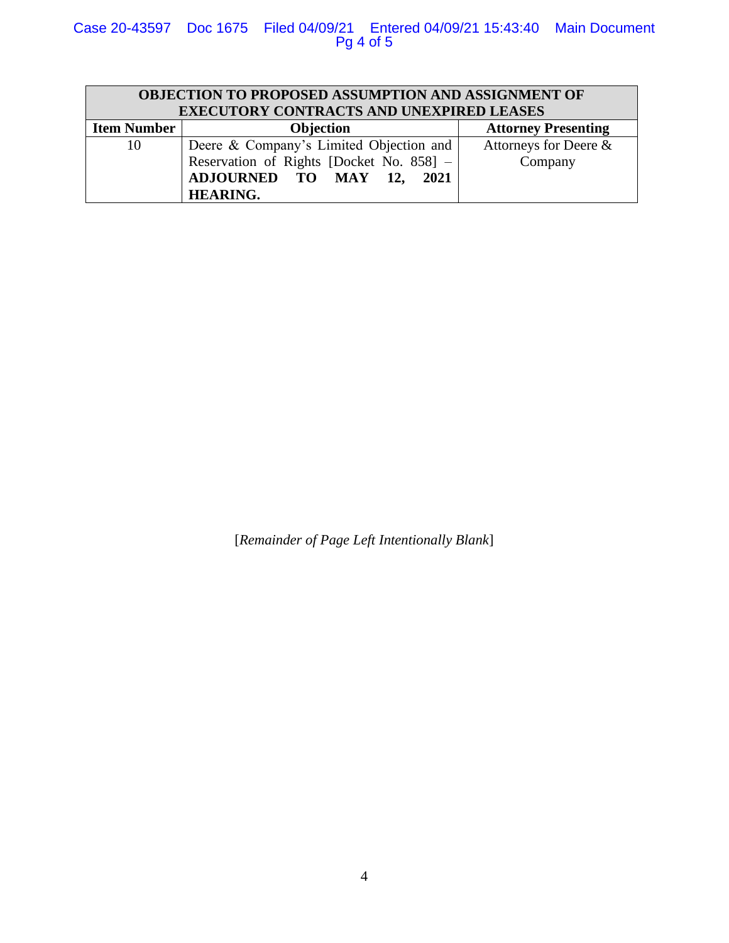# Case 20-43597 Doc 1675 Filed 04/09/21 Entered 04/09/21 15:43:40 Main Document Pg 4 of 5

| OBJECTION TO PROPOSED ASSUMPTION AND ASSIGNMENT OF<br><b>EXECUTORY CONTRACTS AND UNEXPIRED LEASES</b> |                                          |                            |  |  |
|-------------------------------------------------------------------------------------------------------|------------------------------------------|----------------------------|--|--|
| <b>Item Number</b>                                                                                    | <b>Objection</b>                         | <b>Attorney Presenting</b> |  |  |
| 10                                                                                                    | Deere & Company's Limited Objection and  | Attorneys for Deere &      |  |  |
|                                                                                                       | Reservation of Rights [Docket No. 858] - | Company                    |  |  |
|                                                                                                       | ADJOURNED TO MAY 12, 2021                |                            |  |  |
|                                                                                                       | <b>HEARING.</b>                          |                            |  |  |

[*Remainder of Page Left Intentionally Blank*]